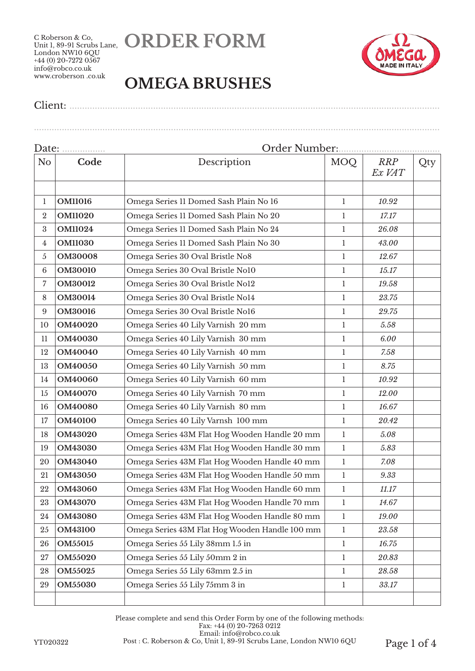



Client: ..................................................................................................................................................

Date: ................. Order Number:........................................ No **Code Description** MOQ *RRP Ex VAT* Qty **OM11016** Omega Series 11 Domed Sash Plain No 16 1 1 10.92 **OM11020** Omega Series 11 Domed Sash Plain No 20 1 *17.17* **OM11024** Omega Series 11 Domed Sash Plain No 24 1 *26.08* **OM11030** Omega Series 11 Domed Sash Plain No 30 1 *43.00* **OM30008** Omega Series 30 Oval Bristle No8 1 1 12.67 **OM30010** Omega Series 30 Oval Bristle No10 1 *15.17* **OM30012** Omega Series 30 Oval Bristle No12 1 *19.58* **OM30014** Omega Series 30 Oval Bristle No14 1 *23.75* **OM30016 Omega Series 30 Oval Bristle No16 1 1 1 29.75 OM40020** Omega Series 40 Lily Varnish 20 mm 1 *5.58* **OM40030** Omega Series 40 Lily Varnish 30 mm 1 *6.00* **OM40040** Omega Series 40 Lily Varnish 40 mm 1 *7.58* **OM40050 Omega Series 40 Lily Varnish 50 mm** 1 8.75 **OM40060** Omega Series 40 Lily Varnish 60 mm 1 *10.92* **OM40070** Omega Series 40 Lily Varnish 70 mm 1 *12.00* **OM40080** Omega Series 40 Lily Varnish 80 mm 1 *16.67* **OM40100** Omega Series 40 Lily Varnsh 100 mm 1 *20.42* **OM43020** Omega Series 43M Flat Hog Wooden Handle 20 mm 1 *5.08* **OM43030** Omega Series 43M Flat Hog Wooden Handle 30 mm 1 *5.83* **OM43040** Omega Series 43M Flat Hog Wooden Handle 40 mm 1 *7.08* **OM43050** Omega Series 43M Flat Hog Wooden Handle 50 mm 1 *9.33* **OM43060** Omega Series 43M Flat Hog Wooden Handle 60 mm 1 *11.17* **OM43070** Omega Series 43M Flat Hog Wooden Handle 70 mm 1 *14.67* **OM43080** Omega Series 43M Flat Hog Wooden Handle 80 mm 1 *19.00* **OM43100** Omega Series 43M Flat Hog Wooden Handle 100 mm 1 *23.58* **OM55015** Omega Series 55 Lily 38mm 1.5 in 1 *16.75* **OM55020** Omega Series 55 Lily 50mm 2 in 1 *20.83* **OM55025** Omega Series 55 Lily 63mm 2.5 in 1 *28.58* **OM55030** Omega Series 55 Lily 75mm 3 in 1 33.17

Please complete and send this Order Form by one of the following methods: Fax: +44 (0) 20-7263 0212 Email: info@robco.co.uk YT020322 Post : C. Roberson & Co, Unit 1, 89-91 Scrubs Lane, London NW10 6QU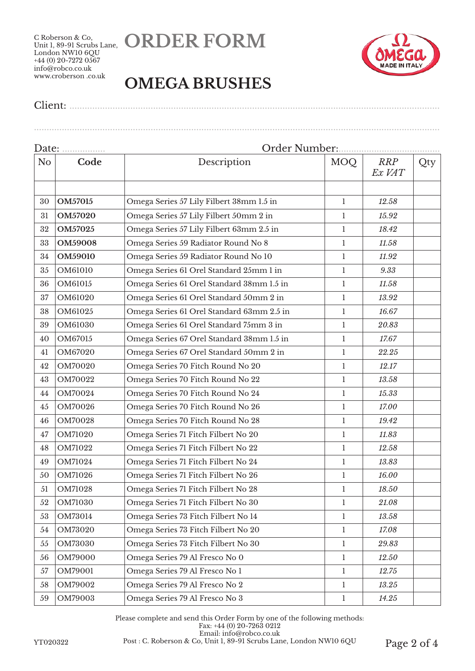



Client: ..................................................................................................................................................

Date: ................. Order Number:........................................ No **Code Description** MOQ *RRP Ex VAT* Qty **OM57015** Omega Series 57 Lily Filbert 38mm 1.5 in 1 *12.58* **OM57020** Omega Series 57 Lily Filbert 50mm 2 in 1 *15.92* **OM57025** Omega Series 57 Lily Filbert 63mm 2.5 in 1 *18.42* **OM59008** Omega Series 59 Radiator Round No 8 1 *11.58* **OM59010** Omega Series 59 Radiator Round No 10 1 *11.92* OM61010 Omega Series 61 Orel Standard 25mm 1 in 1 *9.33* OM61015 Omega Series 61 Orel Standard 38mm 1.5 in 1 *11.58* OM61020 Omega Series 61 Orel Standard 50mm 2 in 1 *13.92* OM61025 Omega Series 61 Orel Standard 63mm 2.5 in 1 *16.67* OM61030 Omega Series 61 Orel Standard 75mm 3 in 1 *20.83* OM67015 Omega Series 67 Orel Standard 38mm 1.5 in 1 *17.67* OM67020 Omega Series 67 Orel Standard 50mm 2 in 1 *22.25* OM70020 Omega Series 70 Fitch Round No 20 1 *12.17* OM70022 Omega Series 70 Fitch Round No 22 1 *13.58* OM70024 Omega Series 70 Fitch Round No 24 1 *15.33* OM70026 Omega Series 70 Fitch Round No 26 1 *17.00* OM70028 Omega Series 70 Fitch Round No 28 1 *19.42* OM71020 Omega Series 71 Fitch Filbert No 20 1 *11.83* OM71022 Omega Series 71 Fitch Filbert No 22 1 *12.58* OM71024 Omega Series 71 Fitch Filbert No 24 1 *13.83* OM71026 Omega Series 71 Fitch Filbert No 26 1 *16.00* OM71028 Omega Series 71 Fitch Filbert No 28 1 *18.50* OM71030 Omega Series 71 Fitch Filbert No 30 1 *21.08* OM73014 Omega Series 73 Fitch Filbert No 14 1 *13.58* OM73020 Omega Series 73 Fitch Filbert No 20 1 *17.08* OM73030 Omega Series 73 Fitch Filbert No 30 1 *29.83* OM79000 Omega Series 79 Al Fresco No 0 1 *12.50* OM79001 Omega Series 79 Al Fresco No 1 1 *12.75* OM79002 Omega Series 79 Al Fresco No 2 1 *13.25* OM79003 Omega Series 79 Al Fresco No 3 1 *14.25*

Please complete and send this Order Form by one of the following methods: Fax: +44 (0) 20-7263 0212 Email: info@robco.co.uk YT020322 Post : C. Roberson & Co, Unit 1, 89-91 Scrubs Lane, London NW10 6QU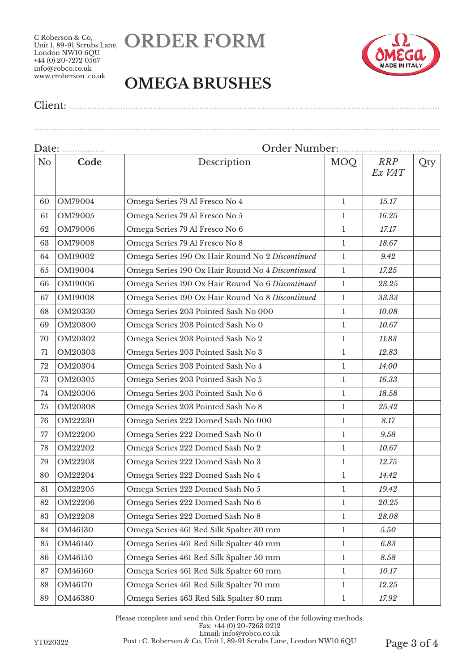



Client: ..................................................................................................................................................

Date: ................. Order Number:........................................ No **Code Description** MOQ *RRP Ex VAT* Qty OM79004 Omega Series 79 Al Fresco No 4 1 *15.17* OM79005 Omega Series 79 Al Fresco No 5 1 *16.25* OM79006 Omega Series 79 Al Fresco No 6 1 *17.17* OM79008 Omega Series 79 Al Fresco No 8 1 *18.67* OM19002 Omega Series 190 Ox Hair Round No 2 *Discontinued* 1 *9.42* OM19004 Omega Series 190 Ox Hair Round No 4 *Discontinued* 1 *17.25* OM19006 Omega Series 190 Ox Hair Round No 6 *Discontinued* 1 *23.25* OM19008 Omega Series 190 Ox Hair Round No 8 *Discontinued* 1 *33.33* OM20330 Omega Series 203 Pointed Sash No 000 1 *10.08* OM20300 Omega Series 203 Pointed Sash No 0 1 *10.67* OM20302 Omega Series 203 Pointed Sash No 2 1 *11.83* OM20303 Omega Series 203 Pointed Sash No 3 1 *12.83* OM20304 Omega Series 203 Pointed Sash No 4 1 *14.00* OM20305 Omega Series 203 Pointed Sash No 5 1 *16.33* OM20306 Omega Series 203 Pointed Sash No 6 1 *18.58* OM20308 Omega Series 203 Pointed Sash No 8 1 *25.42* OM22230 Omega Series 222 Domed Sash No 000 1 *8.17* OM22200 Omega Series 222 Domed Sash No 0 1 *9.58* OM22202 Omega Series 222 Domed Sash No 2 1 *10.67* OM22203 Omega Series 222 Domed Sash No 3 1 *12.75* 80 OM22204 Omega Series 222 Domed Sash No 4 1 1 14.42 OM22205 Omega Series 222 Domed Sash No 5 1 *19.42* OM22206 Omega Series 222 Domed Sash No 6 1 *20.25* OM22208 Omega Series 222 Domed Sash No 8 1 *28.08* OM46130 Omega Series 461 Red Silk Spalter 30 mm 1 *5.50* OM46140 Omega Series 461 Red Silk Spalter 40 mm 1 *6.83* OM46150 Omega Series 461 Red Silk Spalter 50 mm 1 *8.58* 87 | OM46160 | Omega Series 461 Red Silk Spalter 60 mm | 1 | 10.17 OM46170 Omega Series 461 Red Silk Spalter 70 mm 1 *12.25* OM46380 Omega Series 463 Red Silk Spalter 80 mm 1 *17.92*

Please complete and send this Order Form by one of the following methods: Fax: +44 (0) 20-7263 0212 Email: info@robco.co.uk YT020322 Post : C. Roberson & Co, Unit 1, 89-91 Scrubs Lane, London NW10 6QU